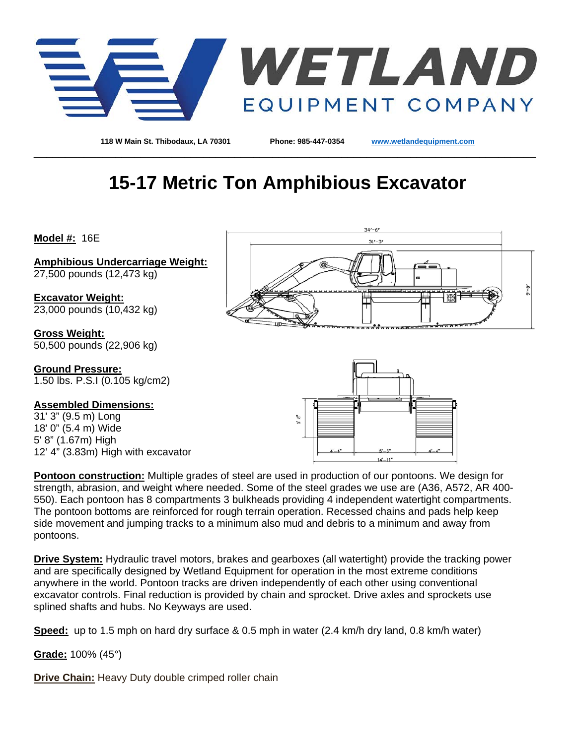

**118 W Main St. Thibodaux, LA 70301 Phone: 985-447-0354 [www.wetlandequipment.com](http://www.wetlandequipment.com/)**

# **15-17 Metric Ton Amphibious Excavator**

\_\_\_\_\_\_\_\_\_\_\_\_\_\_\_\_\_\_\_\_\_\_\_\_\_\_\_\_\_\_\_\_\_\_\_\_\_\_\_\_\_\_\_\_\_\_\_\_\_\_\_\_\_\_\_\_\_\_\_\_\_\_\_\_\_\_\_\_\_\_\_\_\_\_\_\_\_\_\_\_

**Model #:** 16E

**Amphibious Undercarriage Weight:** 27,500 pounds (12,473 kg)

**Excavator Weight:** 23,000 pounds (10,432 kg)

**Gross Weight:** 50,500 pounds (22,906 kg)

**Ground Pressure:** 1.50 lbs. P.S.I (0.105 kg/cm2)

#### **Assembled Dimensions:**

31' 3" (9.5 m) Long 18' 0" (5.4 m) Wide 5' 8" (1.67m) High 12' 4" (3.83m) High with excavator





**Pontoon construction:** Multiple grades of steel are used in production of our pontoons. We design for strength, abrasion, and weight where needed. Some of the steel grades we use are (A36, A572, AR 400- 550). Each pontoon has 8 compartments 3 bulkheads providing 4 independent watertight compartments. The pontoon bottoms are reinforced for rough terrain operation. Recessed chains and pads help keep side movement and jumping tracks to a minimum also mud and debris to a minimum and away from pontoons.

**Drive System:** Hydraulic travel motors, brakes and gearboxes (all watertight) provide the tracking power and are specifically designed by Wetland Equipment for operation in the most extreme conditions anywhere in the world. Pontoon tracks are driven independently of each other using conventional excavator controls. Final reduction is provided by chain and sprocket. Drive axles and sprockets use splined shafts and hubs. No Keyways are used.

**Speed:** up to 1.5 mph on hard dry surface & 0.5 mph in water (2.4 km/h dry land, 0.8 km/h water)

**Grade:** 100% (45°)

**Drive Chain:** Heavy Duty double crimped roller chain